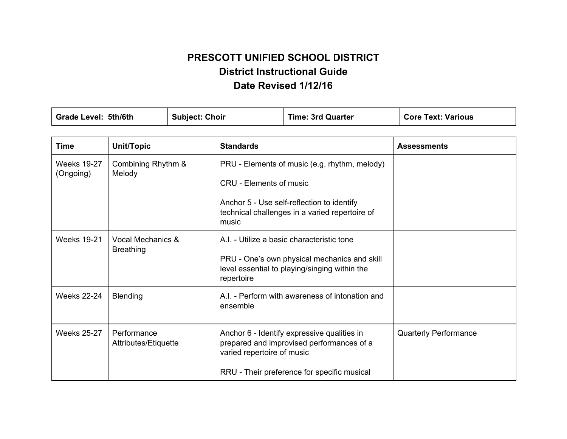# **PRESCOTT UNIFIED SCHOOL DISTRICT District Instructional Guide Date Revised 1/12/16**

| Grade Level: 5th/6th            |                                       | <b>Subject: Choir</b> |                                                                                                                                                                                          | <b>Time: 3rd Quarter</b>                                                                                                                    | <b>Core Text: Various</b>    |
|---------------------------------|---------------------------------------|-----------------------|------------------------------------------------------------------------------------------------------------------------------------------------------------------------------------------|---------------------------------------------------------------------------------------------------------------------------------------------|------------------------------|
| <b>Time</b>                     | Unit/Topic                            |                       | <b>Standards</b>                                                                                                                                                                         |                                                                                                                                             | <b>Assessments</b>           |
| <b>Weeks 19-27</b><br>(Ongoing) | Combining Rhythm &<br>Melody          |                       | PRU - Elements of music (e.g. rhythm, melody)<br><b>CRU - Elements of music</b><br>Anchor 5 - Use self-reflection to identify<br>technical challenges in a varied repertoire of<br>music |                                                                                                                                             |                              |
| <b>Weeks 19-21</b>              | Vocal Mechanics &<br><b>Breathing</b> |                       | repertoire                                                                                                                                                                               | A.I. - Utilize a basic characteristic tone<br>PRU - One's own physical mechanics and skill<br>level essential to playing/singing within the |                              |
| <b>Weeks 22-24</b>              | <b>Blending</b>                       |                       | A.I. - Perform with awareness of intonation and<br>ensemble                                                                                                                              |                                                                                                                                             |                              |
| <b>Weeks 25-27</b>              | Performance<br>Attributes/Etiquette   |                       | varied repertoire of music                                                                                                                                                               | Anchor 6 - Identify expressive qualities in<br>prepared and improvised performances of a<br>RRU - Their preference for specific musical     | <b>Quarterly Performance</b> |